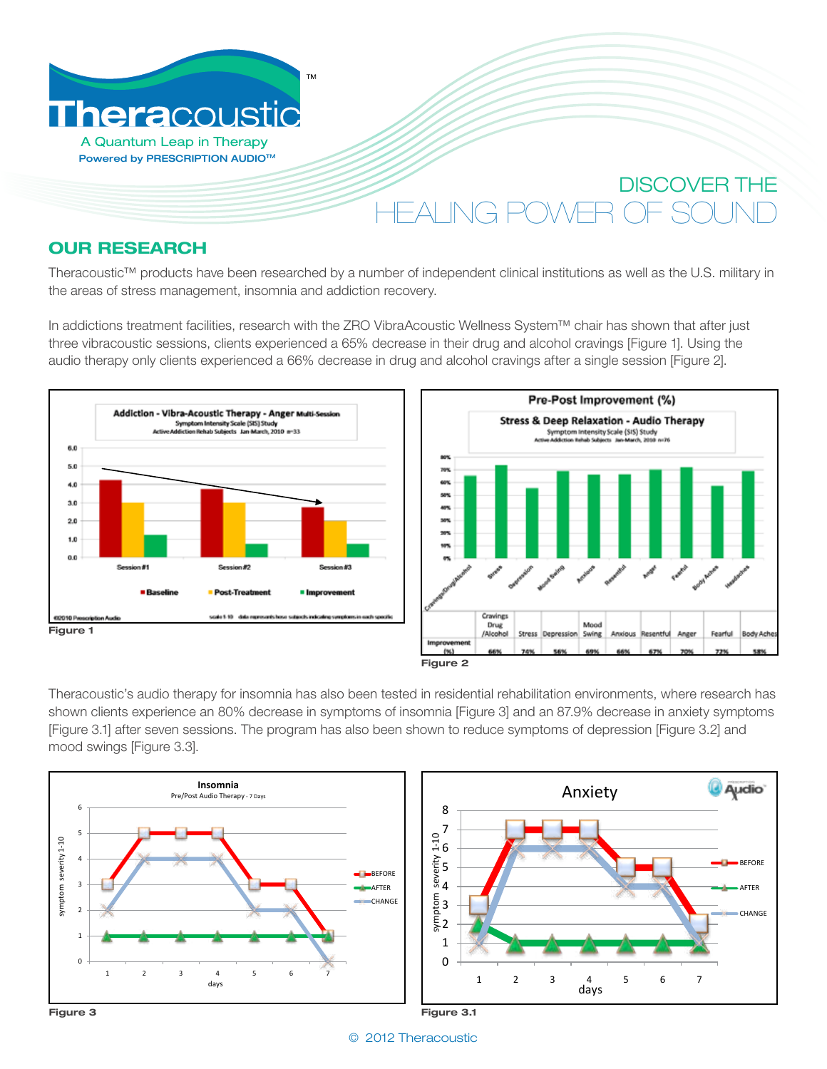

## **OUR RESEARCH**

Theracoustic™ products have been researched by a number of independent clinical institutions as well as the U.S. military in the areas of stress management, insomnia and addiction recovery.  $\frac{1}{\sqrt{2}}$ 

In addictions treatment facilities, research with the ZRO VibraAcoustic Wellness System™ chair has shown that after just three vibracoustic sessions, clients experienced a 65% decrease in their drug and alcohol cravings [Figure 1]. Using the audio therapy only clients experienced a 66% decrease in drug and alcohol cravings after a single session [Figure 2]. **Additional Symptoms Related Symptoms Reduction** with **Reduction** with **Reduction** with **Reduction**  $\mathbb{R}^n$ 



4.5

 $\overline{\phantom{a}}$ 



Theracoustic's audio therapy for insomnia has also been tested in residential rehabilitation environments, where research has shown clients experience an 80% decrease in symptoms of insomnia figure 3] and an 87.9% decrease in anxiety symptoms [Figure 3.1] after seven sessions. The program has also been shown to reduce symptoms of depression [Figure 3.2] and mood swings [Figure 3.3]. **of Audio Therapy** prinia [Figure 3] and an 87.9% decrease in anxiety symptoms





4.5